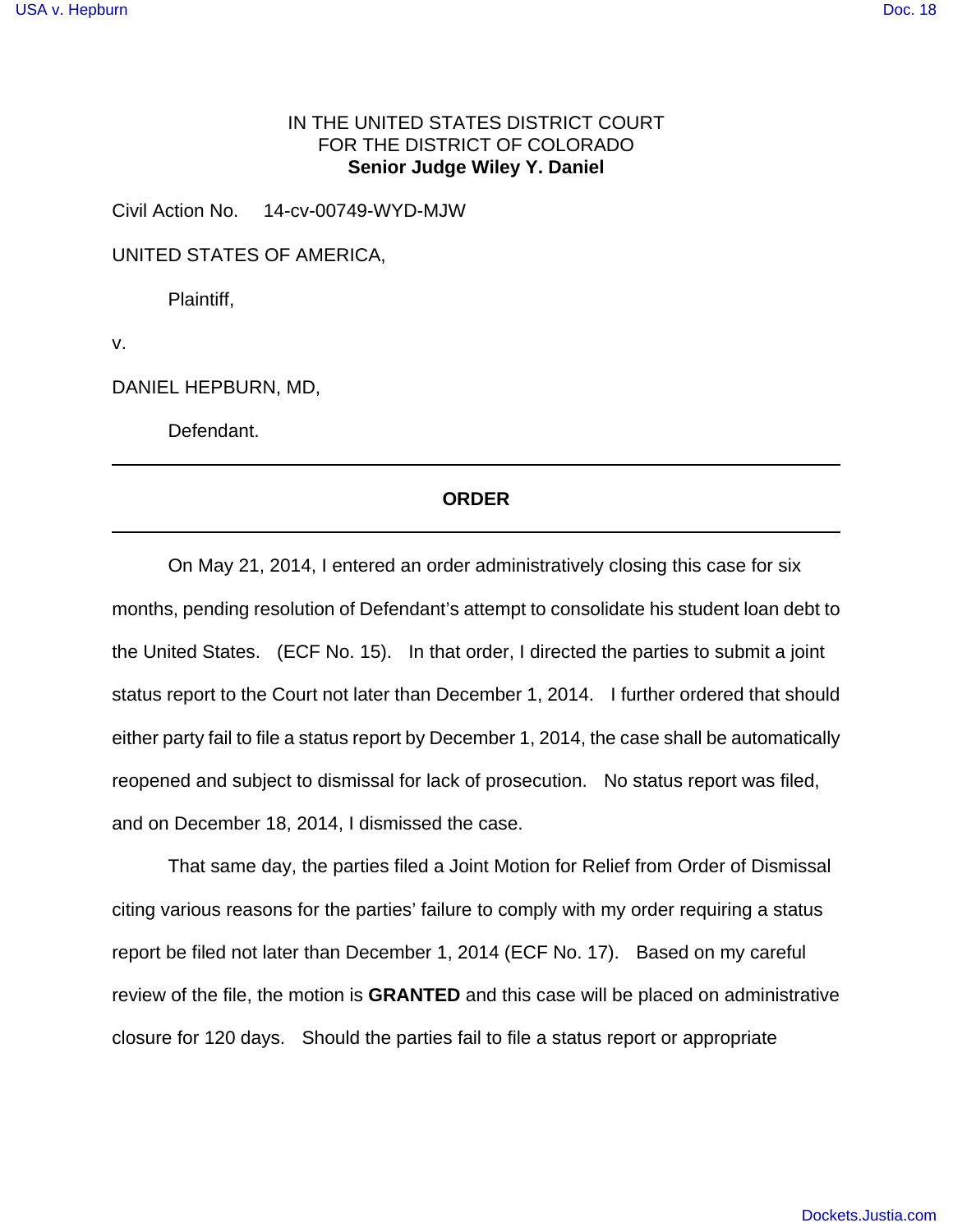## IN THE UNITED STATES DISTRICT COURT FOR THE DISTRICT OF COLORADO **Senior Judge Wiley Y. Daniel**

Civil Action No. 14-cv-00749-WYD-MJW

UNITED STATES OF AMERICA,

Plaintiff,

v.

DANIEL HEPBURN, MD,

Defendant.

## **ORDER**

 On May 21, 2014, I entered an order administratively closing this case for six months, pending resolution of Defendant's attempt to consolidate his student loan debt to the United States. (ECF No. 15). In that order, I directed the parties to submit a joint status report to the Court not later than December 1, 2014. I further ordered that should either party fail to file a status report by December 1, 2014, the case shall be automatically reopened and subject to dismissal for lack of prosecution. No status report was filed, and on December 18, 2014, I dismissed the case.

That same day, the parties filed a Joint Motion for Relief from Order of Dismissal citing various reasons for the parties' failure to comply with my order requiring a status report be filed not later than December 1, 2014 (ECF No. 17). Based on my careful review of the file, the motion is **GRANTED** and this case will be placed on administrative closure for 120 days. Should the parties fail to file a status report or appropriate